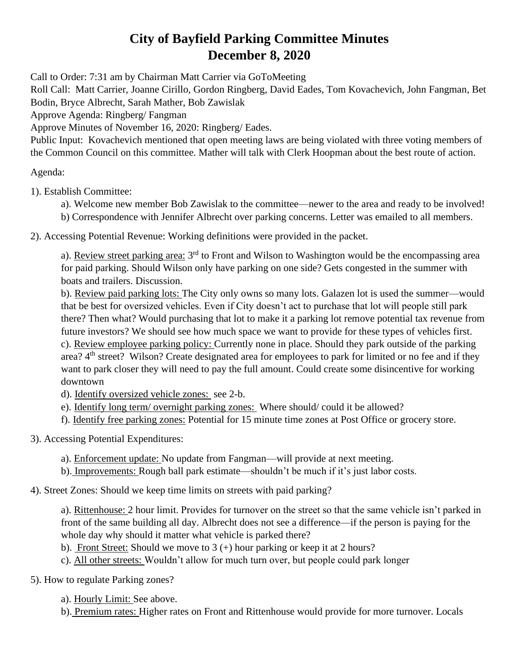## **City of Bayfield Parking Committee Minutes December 8, 2020**

Call to Order: 7:31 am by Chairman Matt Carrier via GoToMeeting

Roll Call: Matt Carrier, Joanne Cirillo, Gordon Ringberg, David Eades, Tom Kovachevich, John Fangman, Bet Bodin, Bryce Albrecht, Sarah Mather, Bob Zawislak

Approve Agenda: Ringberg/ Fangman

Approve Minutes of November 16, 2020: Ringberg/ Eades.

Public Input: Kovachevich mentioned that open meeting laws are being violated with three voting members of the Common Council on this committee. Mather will talk with Clerk Hoopman about the best route of action.

Agenda:

1). Establish Committee:

- a). Welcome new member Bob Zawislak to the committee—newer to the area and ready to be involved!
- b) Correspondence with Jennifer Albrecht over parking concerns. Letter was emailed to all members.

2). Accessing Potential Revenue: Working definitions were provided in the packet.

a). Review street parking area: 3<sup>rd</sup> to Front and Wilson to Washington would be the encompassing area for paid parking. Should Wilson only have parking on one side? Gets congested in the summer with boats and trailers. Discussion.

b). Review paid parking lots: The City only owns so many lots. Galazen lot is used the summer—would that be best for oversized vehicles. Even if City doesn't act to purchase that lot will people still park there? Then what? Would purchasing that lot to make it a parking lot remove potential tax revenue from future investors? We should see how much space we want to provide for these types of vehicles first. c). Review employee parking policy: Currently none in place. Should they park outside of the parking area? 4<sup>th</sup> street? Wilson? Create designated area for employees to park for limited or no fee and if they want to park closer they will need to pay the full amount. Could create some disincentive for working downtown

d). Identify oversized vehicle zones: see 2-b.

- e). Identify long term/ overnight parking zones: Where should/ could it be allowed?
- f). Identify free parking zones: Potential for 15 minute time zones at Post Office or grocery store.

3). Accessing Potential Expenditures:

- a). Enforcement update: No update from Fangman—will provide at next meeting.
- b). Improvements: Rough ball park estimate—shouldn't be much if it's just labor costs.

4). Street Zones: Should we keep time limits on streets with paid parking?

a). Rittenhouse: 2 hour limit. Provides for turnover on the street so that the same vehicle isn't parked in front of the same building all day. Albrecht does not see a difference—if the person is paying for the whole day why should it matter what vehicle is parked there?

- b). Front Street: Should we move to  $3 (+)$  hour parking or keep it at 2 hours?
- c). All other streets: Wouldn't allow for much turn over, but people could park longer

5). How to regulate Parking zones?

a). Hourly Limit: See above.

b). Premium rates: Higher rates on Front and Rittenhouse would provide for more turnover. Locals